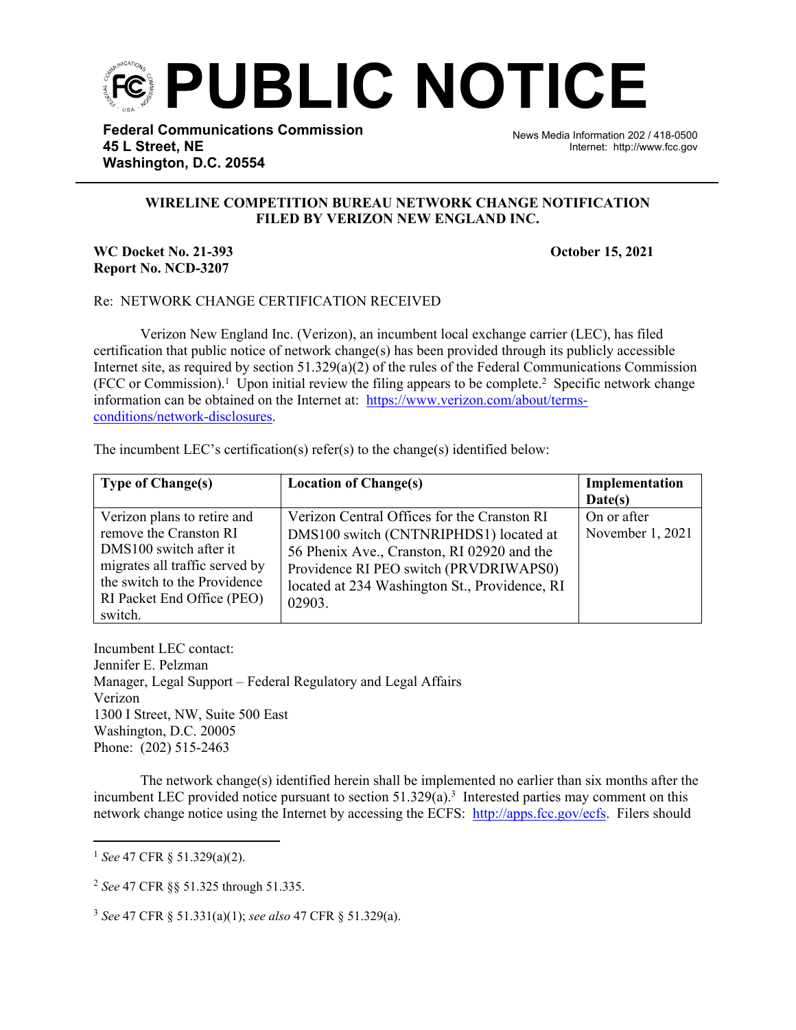

**Federal Communications Commission 45 L Street, NE Washington, D.C. 20554**

News Media Information 202 / 418-0500 Internet: http://www.fcc.gov

## **WIRELINE COMPETITION BUREAU NETWORK CHANGE NOTIFICATION FILED BY VERIZON NEW ENGLAND INC.**

j

## **WC Docket No. 21-393 October 15, 2021 Report No. NCD-3207**

## Re: NETWORK CHANGE CERTIFICATION RECEIVED

Verizon New England Inc. (Verizon), an incumbent local exchange carrier (LEC), has filed certification that public notice of network change(s) has been provided through its publicly accessible Internet site, as required by section  $51.329(a)(2)$  of the rules of the Federal Communications Commission  $(FCC or Commission).$ <sup>1</sup> Upon initial review the filing appears to be complete.<sup>2</sup> Specific network change information can be obtained on the Internet at: [https://www.verizon.com/about/terms](https://www.verizon.com/about/terms-conditions/network-disclosures)[conditions/network-disclosures](https://www.verizon.com/about/terms-conditions/network-disclosures).

The incumbent LEC's certification(s) refer(s) to the change(s) identified below:

| <b>Type of Change(s)</b>                                                                                                                                                                   | <b>Location of Change(s)</b>                                                                                                                                                                                                             | Implementation<br>Date(s)       |
|--------------------------------------------------------------------------------------------------------------------------------------------------------------------------------------------|------------------------------------------------------------------------------------------------------------------------------------------------------------------------------------------------------------------------------------------|---------------------------------|
| Verizon plans to retire and<br>remove the Cranston RI<br>DMS100 switch after it<br>migrates all traffic served by<br>the switch to the Providence<br>RI Packet End Office (PEO)<br>switch. | Verizon Central Offices for the Cranston RI<br>DMS100 switch (CNTNRIPHDS1) located at<br>56 Phenix Ave., Cranston, RI 02920 and the<br>Providence RI PEO switch (PRVDRIWAPS0)<br>located at 234 Washington St., Providence, RI<br>02903. | On or after<br>November 1, 2021 |

Incumbent LEC contact: Jennifer E. Pelzman Manager, Legal Support – Federal Regulatory and Legal Affairs Verizon 1300 I Street, NW, Suite 500 East Washington, D.C. 20005 Phone: (202) 515-2463

The network change(s) identified herein shall be implemented no earlier than six months after the incumbent LEC provided notice pursuant to section 51.329(a).<sup>3</sup> Interested parties may comment on this network change notice using the Internet by accessing the ECFS: <http://apps.fcc.gov/ecfs>. Filers should

<sup>3</sup> *See* 47 CFR § 51.331(a)(1); *see also* 47 CFR § 51.329(a).

<sup>1</sup> *See* 47 CFR § 51.329(a)(2).

<sup>2</sup> *See* 47 CFR §§ 51.325 through 51.335.